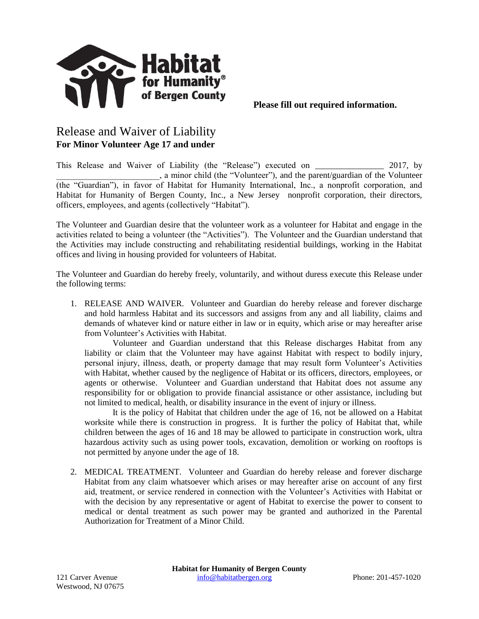

## Release and Waiver of Liability **For Minor Volunteer Age 17 and under**

This Release and Waiver of Liability (the "Release") executed on \_\_\_\_\_\_\_\_\_\_\_\_\_\_\_\_ 2017, by \_\_\_\_\_\_\_\_\_\_\_\_\_\_\_\_\_\_\_\_\_\_\_\_, a minor child (the "Volunteer"), and the parent/guardian of the Volunteer (the "Guardian"), in favor of Habitat for Humanity International, Inc., a nonprofit corporation, and Habitat for Humanity of Bergen County, Inc., a New Jersey nonprofit corporation, their directors, officers, employees, and agents (collectively "Habitat").

The Volunteer and Guardian desire that the volunteer work as a volunteer for Habitat and engage in the activities related to being a volunteer (the "Activities"). The Volunteer and the Guardian understand that the Activities may include constructing and rehabilitating residential buildings, working in the Habitat offices and living in housing provided for volunteers of Habitat.

The Volunteer and Guardian do hereby freely, voluntarily, and without duress execute this Release under the following terms:

1. RELEASE AND WAIVER. Volunteer and Guardian do hereby release and forever discharge and hold harmless Habitat and its successors and assigns from any and all liability, claims and demands of whatever kind or nature either in law or in equity, which arise or may hereafter arise from Volunteer's Activities with Habitat.

Volunteer and Guardian understand that this Release discharges Habitat from any liability or claim that the Volunteer may have against Habitat with respect to bodily injury, personal injury, illness, death, or property damage that may result form Volunteer's Activities with Habitat, whether caused by the negligence of Habitat or its officers, directors, employees, or agents or otherwise. Volunteer and Guardian understand that Habitat does not assume any responsibility for or obligation to provide financial assistance or other assistance, including but not limited to medical, health, or disability insurance in the event of injury or illness.

It is the policy of Habitat that children under the age of 16, not be allowed on a Habitat worksite while there is construction in progress. It is further the policy of Habitat that, while children between the ages of 16 and 18 may be allowed to participate in construction work, ultra hazardous activity such as using power tools, excavation, demolition or working on rooftops is not permitted by anyone under the age of 18.

2. MEDICAL TREATMENT. Volunteer and Guardian do hereby release and forever discharge Habitat from any claim whatsoever which arises or may hereafter arise on account of any first aid, treatment, or service rendered in connection with the Volunteer's Activities with Habitat or with the decision by any representative or agent of Habitat to exercise the power to consent to medical or dental treatment as such power may be granted and authorized in the Parental Authorization for Treatment of a Minor Child.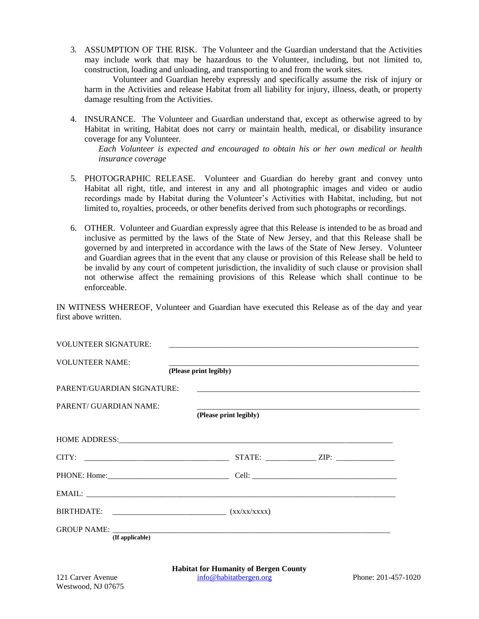3. ASSUMPTION OF THE RISK. The Volunteer and the Guardian understand that the Activities may include work that may be hazardous to the Volunteer, including, but not limited to, construction, loading and unloading, and transporting to and from the work sites.

Volunteer and Guardian hereby expressly and specifically assume the risk of injury or harm in the Activities and release Habitat from all liability for injury, illness, death, or property damage resulting from the Activities.

4. INSURANCE. The Volunteer and Guardian understand that, except as otherwise agreed to by Habitat in writing, Habitat does not carry or maintain health, medical, or disability insurance coverage for any Volunteer.

*Each Volunteer is expected and encouraged to obtain his or her own medical or health insurance coverage*

- 5. PHOTOGRAPHIC RELEASE. Volunteer and Guardian do hereby grant and convey unto Habitat all right, title, and interest in any and all photographic images and video or audio recordings made by Habitat during the Volunteer's Activities with Habitat, including, but not limited to, royalties, proceeds, or other benefits derived from such photographs or recordings.
- 6. OTHER. Volunteer and Guardian expressly agree that this Release is intended to be as broad and inclusive as permitted by the laws of the State of New Jersey, and that this Release shall be governed by and interpreted in accordance with the laws of the State of New Jersey. Volunteer and Guardian agrees that in the event that any clause or provision of this Release shall be held to be invalid by any court of competent jurisdiction, the invalidity of such clause or provision shall not otherwise affect the remaining provisions of this Release which shall continue to be enforceable.

IN WITNESS WHEREOF, Volunteer and Guardian have executed this Release as of the day and year first above written.

| <b>VOLUNTEER SIGNATURE:</b>   |                                                                                                                                                                                                                               |
|-------------------------------|-------------------------------------------------------------------------------------------------------------------------------------------------------------------------------------------------------------------------------|
| <b>VOLUNTEER NAME:</b>        | (Please print legibly)                                                                                                                                                                                                        |
| PARENT/GUARDIAN SIGNATURE:    |                                                                                                                                                                                                                               |
| <b>PARENT/ GUARDIAN NAME:</b> | (Please print legibly)                                                                                                                                                                                                        |
|                               | HOME ADDRESS: North and the set of the set of the set of the set of the set of the set of the set of the set of the set of the set of the set of the set of the set of the set of the set of the set of the set of the set of |
| CITY:                         | STATE: $ZIP:$                                                                                                                                                                                                                 |
|                               |                                                                                                                                                                                                                               |
|                               |                                                                                                                                                                                                                               |
|                               |                                                                                                                                                                                                                               |
| (If applicable)               |                                                                                                                                                                                                                               |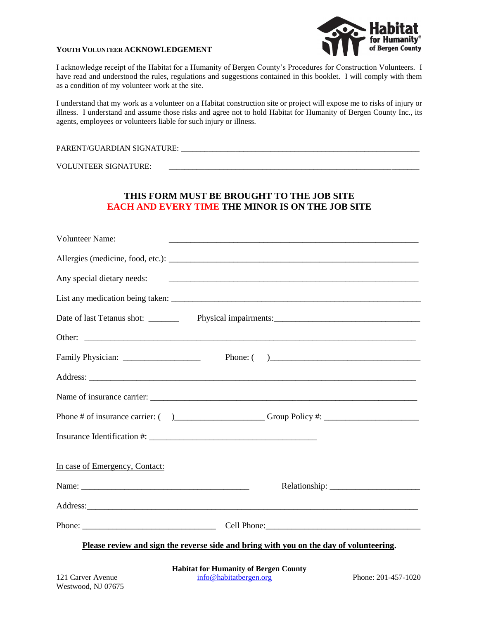#### **YOUTH VOLUNTEER ACKNOWLEDGEMENT**



I acknowledge receipt of the Habitat for a Humanity of Bergen County's Procedures for Construction Volunteers. I have read and understood the rules, regulations and suggestions contained in this booklet. I will comply with them as a condition of my volunteer work at the site.

I understand that my work as a volunteer on a Habitat construction site or project will expose me to risks of injury or illness. I understand and assume those risks and agree not to hold Habitat for Humanity of Bergen County Inc., its agents, employees or volunteers liable for such injury or illness.

PARENT/GUARDIAN SIGNATURE: \_\_\_\_\_\_\_\_\_\_\_\_\_\_\_\_\_\_\_\_\_\_\_\_\_\_\_\_\_\_\_\_\_\_\_\_\_\_\_\_\_\_\_\_\_\_\_\_\_\_\_\_\_\_\_\_\_\_\_\_\_

VOLUNTEER SIGNATURE:

### **THIS FORM MUST BE BROUGHT TO THE JOB SITE EACH AND EVERY TIME THE MINOR IS ON THE JOB SITE**

| <b>Volunteer Name:</b>                                                                 |                            |  |
|----------------------------------------------------------------------------------------|----------------------------|--|
|                                                                                        |                            |  |
|                                                                                        |                            |  |
|                                                                                        |                            |  |
|                                                                                        |                            |  |
|                                                                                        |                            |  |
|                                                                                        |                            |  |
|                                                                                        |                            |  |
|                                                                                        | Name of insurance carrier: |  |
|                                                                                        |                            |  |
|                                                                                        |                            |  |
| In case of Emergency, Contact:                                                         |                            |  |
|                                                                                        |                            |  |
|                                                                                        |                            |  |
|                                                                                        |                            |  |
| Please review and sign the reverse side and bring with you on the day of volunteering. |                            |  |

**Habitat for Humanity of Bergen County** 121 Carver Avenue [info@habitatbergen.org](mailto:info@habitatbergen.org) Phone: 201-457-1020